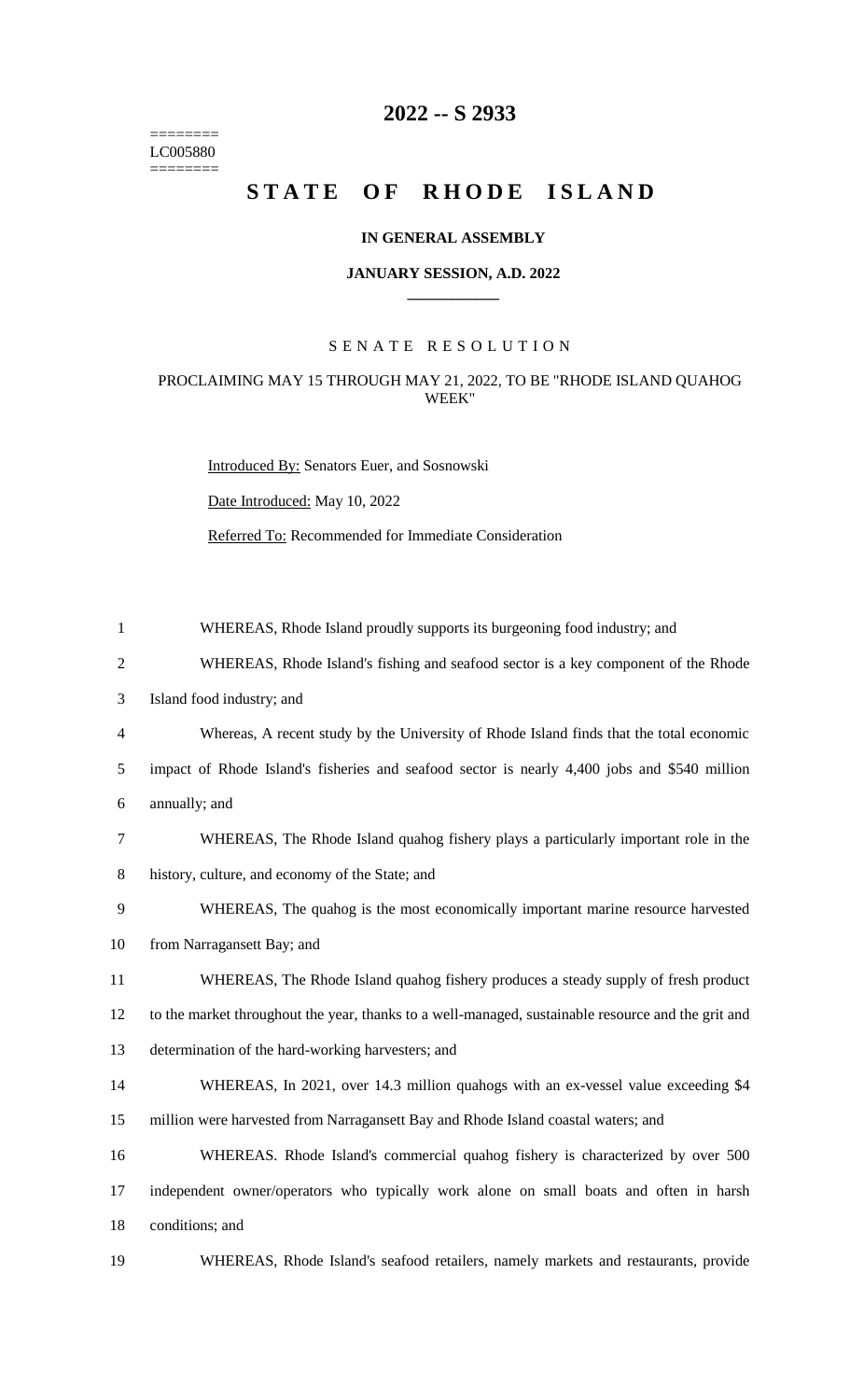======== LC005880  $=$ 

# **-- S 2933**

# STATE OF RHODE ISLAND

## **IN GENERAL ASSEMBLY**

#### **JANUARY SESSION, A.D. 2022 \_\_\_\_\_\_\_\_\_\_\_\_**

# S E N A T E R E S O L U T I O N

## PROCLAIMING MAY 15 THROUGH MAY 21, 2022, TO BE "RHODE ISLAND QUAHOG WEEK"

Introduced By: Senators Euer, and Sosnowski

Date Introduced: May 10, 2022

Referred To: Recommended for Immediate Consideration

| $\mathbf{1}$   | WHEREAS, Rhode Island proudly supports its burgeoning food industry; and                           |
|----------------|----------------------------------------------------------------------------------------------------|
| $\overline{2}$ | WHEREAS, Rhode Island's fishing and seafood sector is a key component of the Rhode                 |
| 3              | Island food industry; and                                                                          |
| $\overline{4}$ | Whereas, A recent study by the University of Rhode Island finds that the total economic            |
| 5              | impact of Rhode Island's fisheries and seafood sector is nearly 4,400 jobs and \$540 million       |
| 6              | annually; and                                                                                      |
| 7              | WHEREAS, The Rhode Island quahog fishery plays a particularly important role in the                |
| 8              | history, culture, and economy of the State; and                                                    |
| 9              | WHEREAS, The qualog is the most economically important marine resource harvested                   |
| 10             | from Narragansett Bay; and                                                                         |
| 11             | WHEREAS, The Rhode Island quahog fishery produces a steady supply of fresh product                 |
| 12             | to the market throughout the year, thanks to a well-managed, sustainable resource and the grit and |
| 13             | determination of the hard-working harvesters; and                                                  |
| 14             | WHEREAS, In 2021, over 14.3 million qualogs with an ex-vessel value exceeding \$4                  |
| 15             | million were harvested from Narragansett Bay and Rhode Island coastal waters; and                  |
| 16             | WHEREAS. Rhode Island's commercial quahog fishery is characterized by over 500                     |
| 17             | independent owner/operators who typically work alone on small boats and often in harsh             |
| 18             | conditions; and                                                                                    |
| 19             | WHEREAS, Rhode Island's seafood retailers, namely markets and restaurants, provide                 |